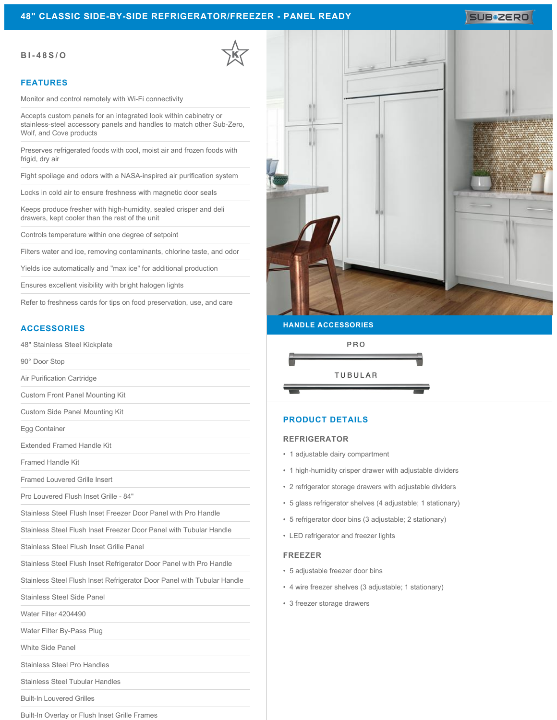#### **48" CLASSIC SIDE-BY-SIDE REFRIGERATOR/FREEZER - PANEL READY**

## SUB**\*ZERO**

#### **BI-48S/O**

#### **FEATURES**

Monitor and control remotely with Wi-Fi connectivity

Accepts custom panels for an integrated look within cabinetry or stainless-steel accessory panels and handles to match other Sub-Zero, Wolf, and Cove products

Preserves refrigerated foods with cool, moist air and frozen foods with frigid, dry air

Fight spoilage and odors with a NASA-inspired air purification system

Locks in cold air to ensure freshness with magnetic door seals

Keeps produce fresher with high-humidity, sealed crisper and deli drawers, kept cooler than the rest of the unit

Controls temperature within one degree of setpoint

Filters water and ice, removing contaminants, chlorine taste, and odor

Yields ice automatically and "max ice" for additional production

Ensures excellent visibility with bright halogen lights

Refer to freshness cards for tips on food preservation, use, and care

#### **ACCESSORIES**

48" Stainless Steel Kickplate

90° Door Stop

Air Purification Cartridge

Custom Front Panel Mounting Kit

Custom Side Panel Mounting Kit

Egg Container

Extended Framed Handle Kit

Framed Handle Kit

Framed Louvered Grille Insert

Pro Louvered Flush Inset Grille - 84"

Stainless Steel Flush Inset Freezer Door Panel with Pro Handle

Stainless Steel Flush Inset Freezer Door Panel with Tubular Handle

Stainless Steel Flush Inset Grille Panel

Stainless Steel Flush Inset Refrigerator Door Panel with Pro Handle

Stainless Steel Flush Inset Refrigerator Door Panel with Tubular Handle

Stainless Steel Side Panel

Water Filter 4204490

Water Filter By-Pass Plug

White Side Panel

Stainless Steel Pro Handles

Stainless Steel Tubular Handles

Built-In Louvered Grilles

Built-In Overlay or Flush Inset Grille Frames





#### **PRODUCT DETAILS**

#### **REFRIGERATOR**

- 1 adjustable dairy compartment
- 1 high-humidity crisper drawer with adjustable dividers
- 2 refrigerator storage drawers with adjustable dividers
- 5 glass refrigerator shelves (4 adjustable; 1 stationary)
- 5 refrigerator door bins (3 adjustable; 2 stationary)
- LED refrigerator and freezer lights

#### **FREEZER**

- 5 adjustable freezer door bins
- 4 wire freezer shelves (3 adjustable; 1 stationary)
- 3 freezer storage drawers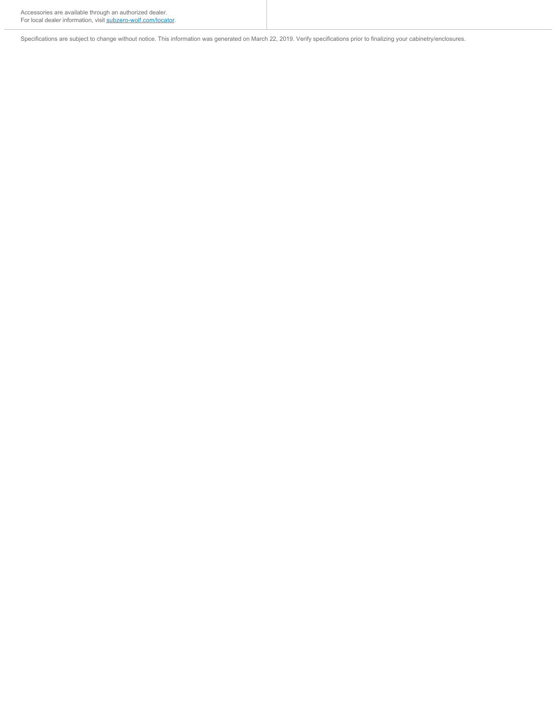Accessories are available through an authorized dealer. For local dealer information, visit [subzero-wolf.com/locator.](http://www.subzero-wolf.com/locator)

Specifications are subject to change without notice. This information was generated on March 22, 2019. Verify specifications prior to finalizing your cabinetry/enclosures.